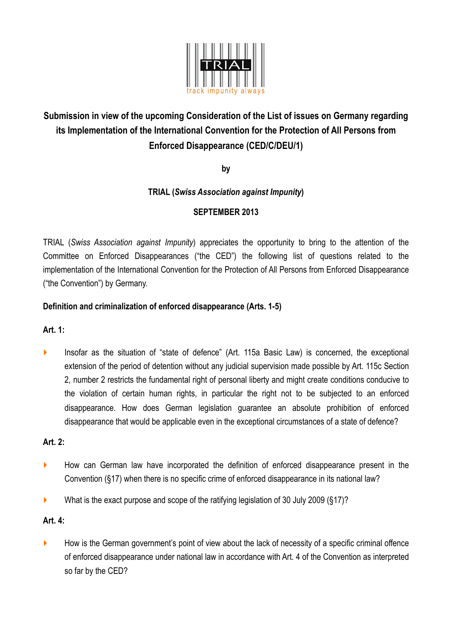

# **Submission in view of the upcoming Consideration of the List of issues on Germany regarding its Implementation of the International Convention for the Protection of All Persons from Enforced Disappearance (CED/C/DEU/1)**

**by** 

# **TRIAL (***Swiss Association against Impunity***)**

# **SEPTEMBER 2013**

TRIAL (*Swiss Association against Impunity*) appreciates the opportunity to bring to the attention of the Committee on Enforced Disappearances ("the CED") the following list of questions related to the implementation of the International Convention for the Protection of All Persons from Enforced Disappearance ("the Convention") by Germany.

# **Definition and criminalization of enforced disappearance (Arts. 1-5)**

**Art. 1:** 

‣ Insofar as the situation of "state of defence" (Art. 115a Basic Law) is concerned, the exceptional extension of the period of detention without any judicial supervision made possible by Art. 115c Section 2, number 2 restricts the fundamental right of personal liberty and might create conditions conducive to the violation of certain human rights, in particular the right not to be subjected to an enforced disappearance. How does German legislation guarantee an absolute prohibition of enforced disappearance that would be applicable even in the exceptional circumstances of a state of defence?

# **Art. 2:**

- ‣ How can German law have incorporated the definition of enforced disappearance present in the Convention (§17) when there is no specific crime of enforced disappearance in its national law?
- ‣ What is the exact purpose and scope of the ratifying legislation of 30 July 2009 (§17)?

# **Art. 4:**

• How is the German government's point of view about the lack of necessity of a specific criminal offence of enforced disappearance under national law in accordance with Art. 4 of the Convention as interpreted so far by the CED?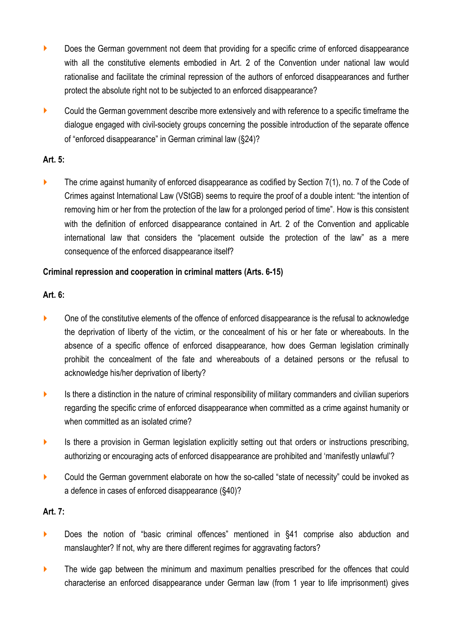- **EXECT** Does the German government not deem that providing for a specific crime of enforced disappearance with all the constitutive elements embodied in Art. 2 of the Convention under national law would rationalise and facilitate the criminal repression of the authors of enforced disappearances and further protect the absolute right not to be subjected to an enforced disappearance?
- ‣ Could the German government describe more extensively and with reference to a specific timeframe the dialogue engaged with civil-society groups concerning the possible introduction of the separate offence of "enforced disappearance" in German criminal law (§24)?

# **Art. 5:**

 $\blacktriangleright$  The crime against humanity of enforced disappearance as codified by Section 7(1), no. 7 of the Code of Crimes against International Law (VStGB) seems to require the proof of a double intent: "the intention of removing him or her from the protection of the law for a prolonged period of time". How is this consistent with the definition of enforced disappearance contained in Art. 2 of the Convention and applicable international law that considers the "placement outside the protection of the law" as a mere consequence of the enforced disappearance itself?

# **Criminal repression and cooperation in criminal matters (Arts. 6-15)**

# **Art. 6:**

- One of the constitutive elements of the offence of enforced disappearance is the refusal to acknowledge the deprivation of liberty of the victim, or the concealment of his or her fate or whereabouts. In the absence of a specific offence of enforced disappearance, how does German legislation criminally prohibit the concealment of the fate and whereabouts of a detained persons or the refusal to acknowledge his/her deprivation of liberty?
- is there a distinction in the nature of criminal responsibility of military commanders and civilian superiors regarding the specific crime of enforced disappearance when committed as a crime against humanity or when committed as an isolated crime?
- ‣ Is there a provision in German legislation explicitly setting out that orders or instructions prescribing, authorizing or encouraging acts of enforced disappearance are prohibited and 'manifestly unlawful'?
- Could the German government elaborate on how the so-called "state of necessity" could be invoked as a defence in cases of enforced disappearance (§40)?

# **Art. 7:**

- ▶ Does the notion of "basic criminal offences" mentioned in §41 comprise also abduction and manslaughter? If not, why are there different regimes for aggravating factors?
- The wide gap between the minimum and maximum penalties prescribed for the offences that could characterise an enforced disappearance under German law (from 1 year to life imprisonment) gives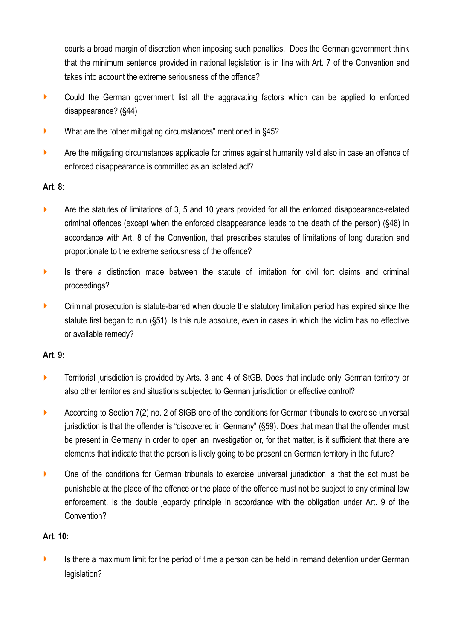courts a broad margin of discretion when imposing such penalties. Does the German government think that the minimum sentence provided in national legislation is in line with Art. 7 of the Convention and takes into account the extreme seriousness of the offence?

- Could the German government list all the aggravating factors which can be applied to enforced disappearance? (§44)
- ‣ What are the "other mitigating circumstances" mentioned in §45?
- ightharport Are the mitigating circumstances applicable for crimes against humanity valid also in case an offence of enforced disappearance is committed as an isolated act?

# **Art. 8:**

- Are the statutes of limitations of 3, 5 and 10 years provided for all the enforced disappearance-related criminal offences (except when the enforced disappearance leads to the death of the person) (§48) in accordance with Art. 8 of the Convention, that prescribes statutes of limitations of long duration and proportionate to the extreme seriousness of the offence?
- ‣ Is there a distinction made between the statute of limitation for civil tort claims and criminal proceedings?
- Criminal prosecution is statute-barred when double the statutory limitation period has expired since the statute first began to run (§51). Is this rule absolute, even in cases in which the victim has no effective or available remedy?

# **Art. 9:**

- **EXECT** Territorial jurisdiction is provided by Arts. 3 and 4 of StGB. Does that include only German territory or also other territories and situations subjected to German jurisdiction or effective control?
- **EXECORDITY According to Section 7(2) no. 2 of StGB one of the conditions for German tribunals to exercise universal** jurisdiction is that the offender is "discovered in Germany" (§59). Does that mean that the offender must be present in Germany in order to open an investigation or, for that matter, is it sufficient that there are elements that indicate that the person is likely going to be present on German territory in the future?
- One of the conditions for German tribunals to exercise universal jurisdiction is that the act must be punishable at the place of the offence or the place of the offence must not be subject to any criminal law enforcement. Is the double jeopardy principle in accordance with the obligation under Art. 9 of the Convention?

# **Art. 10:**

‣ Is there a maximum limit for the period of time a person can be held in remand detention under German legislation?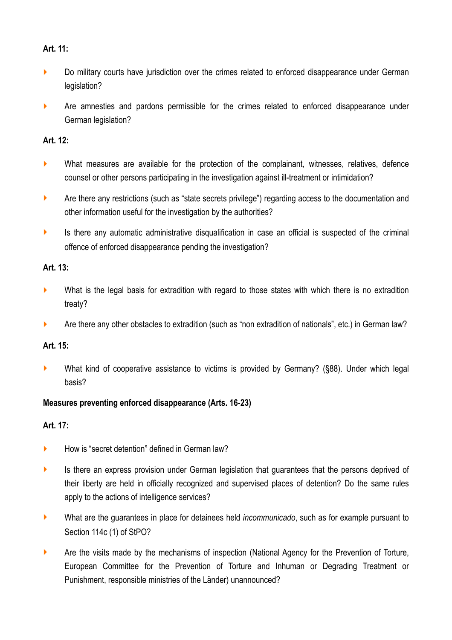#### **Art. 11:**

- **Do military courts have jurisdiction over the crimes related to enforced disappearance under German** legislation?
- ‣ Are amnesties and pardons permissible for the crimes related to enforced disappearance under German legislation?

#### **Art. 12:**

- $\blacktriangleright$  What measures are available for the protection of the complainant, witnesses, relatives, defence counsel or other persons participating in the investigation against ill-treatment or intimidation?
- **EXECT** Are there any restrictions (such as "state secrets privilege") regarding access to the documentation and other information useful for the investigation by the authorities?
- $\blacktriangleright$  Is there any automatic administrative disqualification in case an official is suspected of the criminal offence of enforced disappearance pending the investigation?

#### **Art. 13:**

- ‣ What is the legal basis for extradition with regard to those states with which there is no extradition treaty?
- ‣ Are there any other obstacles to extradition (such as "non extradition of nationals", etc.) in German law?

# **Art. 15:**

‣ What kind of cooperative assistance to victims is provided by Germany? (§88). Under which legal basis?

# **Measures preventing enforced disappearance (Arts. 16-23)**

# **Art. 17:**

- ▶ How is "secret detention" defined in German law?
- is there an express provision under German legislation that guarantees that the persons deprived of their liberty are held in officially recognized and supervised places of detention? Do the same rules apply to the actions of intelligence services?
- ‣ What are the guarantees in place for detainees held *incommunicado*, such as for example pursuant to Section 114c (1) of StPO?
- Are the visits made by the mechanisms of inspection (National Agency for the Prevention of Torture, European Committee for the Prevention of Torture and Inhuman or Degrading Treatment or Punishment, responsible ministries of the Länder) unannounced?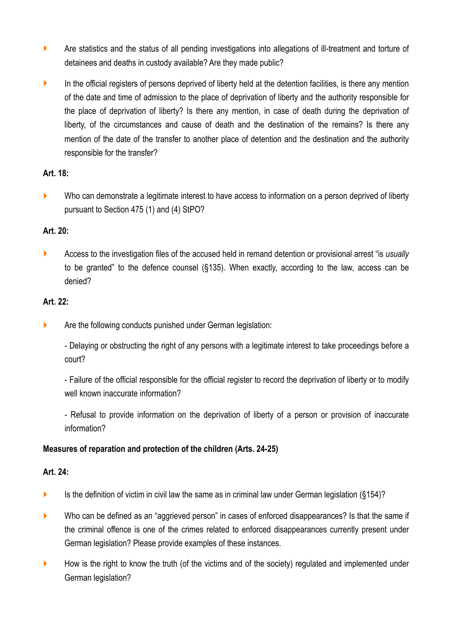- ‣ Are statistics and the status of all pending investigations into allegations of ill-treatment and torture of detainees and deaths in custody available? Are they made public?
- ‣ In the official registers of persons deprived of liberty held at the detention facilities, is there any mention of the date and time of admission to the place of deprivation of liberty and the authority responsible for the place of deprivation of liberty? Is there any mention, in case of death during the deprivation of liberty, of the circumstances and cause of death and the destination of the remains? Is there any mention of the date of the transfer to another place of detention and the destination and the authority responsible for the transfer?

# **Art. 18:**

• Who can demonstrate a legitimate interest to have access to information on a person deprived of liberty pursuant to Section 475 (1) and (4) StPO?

# **Art. 20:**

‣ Access to the investigation files of the accused held in remand detention or provisional arrest "is *usually* to be granted" to the defence counsel (§135). When exactly, according to the law, access can be denied?

# **Art. 22:**

- **EXECUTE:** Are the following conducts punished under German legislation:
	- Delaying or obstructing the right of any persons with a legitimate interest to take proceedings before a court?
	- Failure of the official responsible for the official register to record the deprivation of liberty or to modify well known inaccurate information?
	- Refusal to provide information on the deprivation of liberty of a person or provision of inaccurate information?

# **Measures of reparation and protection of the children (Arts. 24-25)**

# **Art. 24:**

- $\blacktriangleright$  Is the definition of victim in civil law the same as in criminal law under German legislation (§154)?
- Who can be defined as an "aggrieved person" in cases of enforced disappearances? Is that the same if the criminal offence is one of the crimes related to enforced disappearances currently present under German legislation? Please provide examples of these instances.
- $\blacktriangleright$  How is the right to know the truth (of the victims and of the society) regulated and implemented under German legislation?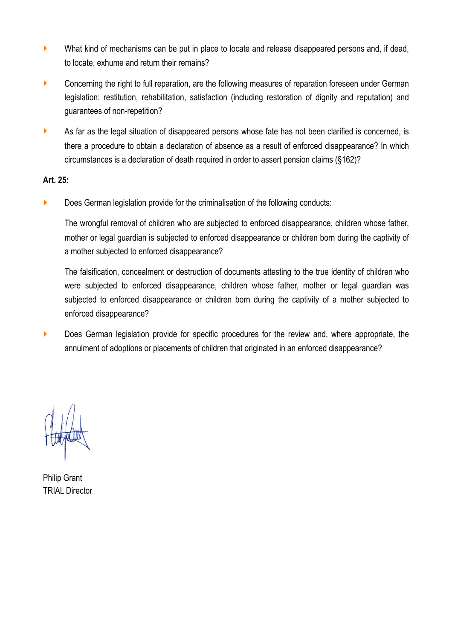- ‣ What kind of mechanisms can be put in place to locate and release disappeared persons and, if dead, to locate, exhume and return their remains?
- Concerning the right to full reparation, are the following measures of reparation foreseen under German legislation: restitution, rehabilitation, satisfaction (including restoration of dignity and reputation) and guarantees of non-repetition?
- ightharportal As far as the legal situation of disappeared persons whose fate has not been clarified is concerned, is there a procedure to obtain a declaration of absence as a result of enforced disappearance? In which circumstances is a declaration of death required in order to assert pension claims (§162)?

#### **Art. 25:**

**EXECT** Does German legislation provide for the criminalisation of the following conducts:

The wrongful removal of children who are subjected to enforced disappearance, children whose father, mother or legal guardian is subjected to enforced disappearance or children born during the captivity of a mother subjected to enforced disappearance?

The falsification, concealment or destruction of documents attesting to the true identity of children who were subjected to enforced disappearance, children whose father, mother or legal guardian was subjected to enforced disappearance or children born during the captivity of a mother subjected to enforced disappearance?

**EXECT** Does German legislation provide for specific procedures for the review and, where appropriate, the annulment of adoptions or placements of children that originated in an enforced disappearance?

Philip Grant TRIAL Director